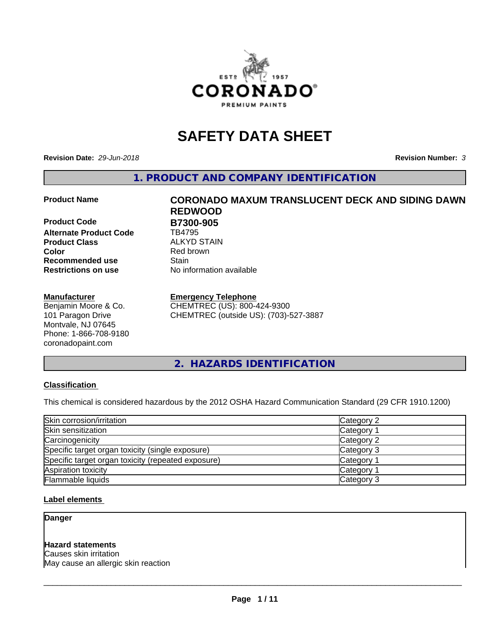

# **SAFETY DATA SHEET**

**Revision Date:** *29-Jun-2018* **Revision Number:** *3*

**1. PRODUCT AND COMPANY IDENTIFICATION**

**Product Code B7300-905**<br>Alternate Product Code **BA795 Alternate Product Code Product Class** ALKYD STAIN<br> **Color** Red brown **Recommended use Stain Restrictions on use** No information available

#### **Manufacturer**

Benjamin Moore & Co. 101 Paragon Drive Montvale, NJ 07645 Phone: 1-866-708-9180 coronadopaint.com

# **Product Name CORONADO MAXUM TRANSLUCENT DECK AND SIDING DAWN REDWOOD Red brown**

#### **Emergency Telephone**

CHEMTREC (US): 800-424-9300 CHEMTREC (outside US): (703)-527-3887

**2. HAZARDS IDENTIFICATION**

#### **Classification**

This chemical is considered hazardous by the 2012 OSHA Hazard Communication Standard (29 CFR 1910.1200)

| Skin corrosion/irritation                          | Category 2        |
|----------------------------------------------------|-------------------|
| Skin sensitization                                 | Category 1        |
| Carcinogenicity                                    | Category 2        |
| Specific target organ toxicity (single exposure)   | Category 3        |
| Specific target organ toxicity (repeated exposure) | Category 1        |
| Aspiration toxicity                                | <b>Category 1</b> |
| Flammable liquids                                  | Category 3        |

#### **Label elements**

**Danger**

#### **Hazard statements**

Causes skin irritation May cause an allergic skin reaction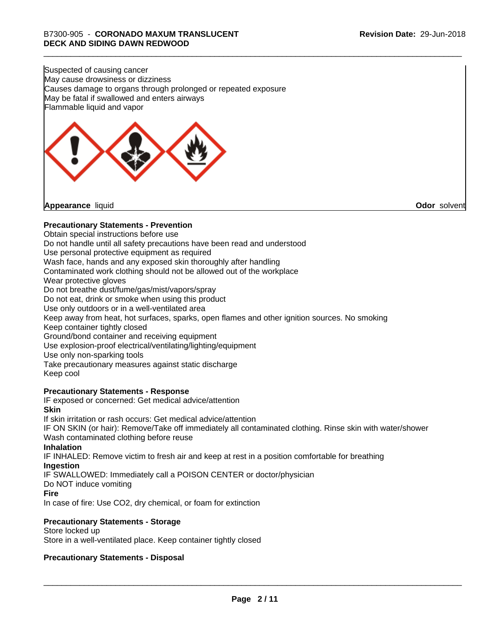Suspected of causing cancer May cause drowsiness or dizziness Causes damage to organs through prolonged or repeated exposure May be fatal if swallowed and enters airways Flammable liquid and vapor



#### **Precautionary Statements - Prevention**

Obtain special instructions before use Do not handle until all safety precautions have been read and understood Use personal protective equipment as required Wash face, hands and any exposed skin thoroughly after handling Contaminated work clothing should not be allowed out of the workplace Wear protective gloves Do not breathe dust/fume/gas/mist/vapors/spray Do not eat, drink or smoke when using this product Use only outdoors or in a well-ventilated area Keep away from heat, hot surfaces, sparks, open flames and other ignition sources. No smoking Keep container tightly closed Ground/bond container and receiving equipment Use explosion-proof electrical/ventilating/lighting/equipment Use only non-sparking tools Take precautionary measures against static discharge Keep cool **Precautionary Statements - Response** IF exposed or concerned: Get medical advice/attention **Skin** If skin irritation or rash occurs: Get medical advice/attention

IF ON SKIN (or hair): Remove/Take off immediately all contaminated clothing. Rinse skin with water/shower Wash contaminated clothing before reuse

#### **Inhalation**

IF INHALED: Remove victim to fresh air and keep at rest in a position comfortable for breathing **Ingestion**

IF SWALLOWED: Immediately call a POISON CENTER or doctor/physician

Do NOT induce vomiting

#### **Fire**

In case of fire: Use CO2, dry chemical, or foam for extinction

#### **Precautionary Statements - Storage**

Store locked up Store in a well-ventilated place. Keep container tightly closed

#### **Precautionary Statements - Disposal**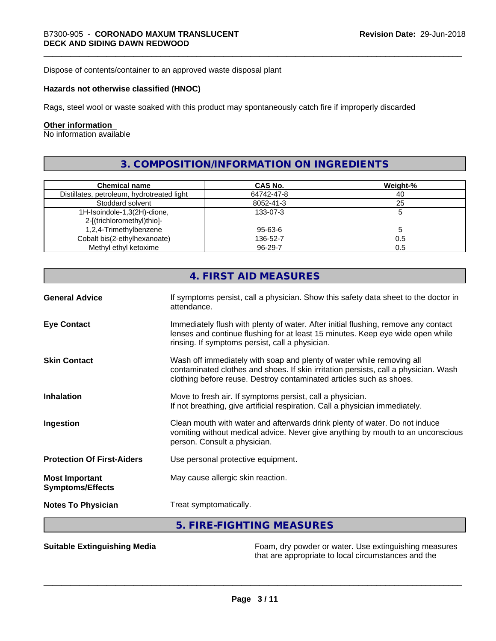Dispose of contents/container to an approved waste disposal plant

#### **Hazards not otherwise classified (HNOC)**

Rags, steel wool or waste soaked with this product may spontaneously catch fire if improperly discarded

#### **Other information**

No information available

# **3. COMPOSITION/INFORMATION ON INGREDIENTS**

| <b>Chemical name</b>                       | CAS No.       | Weight-% |
|--------------------------------------------|---------------|----------|
| Distillates, petroleum, hydrotreated light | 64742-47-8    | 40       |
| Stoddard solvent                           | 8052-41-3     | 25       |
| 1H-Isoindole-1,3(2H)-dione,                | 133-07-3      |          |
| 2-[(trichloromethyl)thio]-                 |               |          |
| 1,2,4-Trimethylbenzene                     | 95-63-6       |          |
| Cobalt bis(2-ethylhexanoate)               | 136-52-7      | 0.5      |
| Methyl ethyl ketoxime                      | $96 - 29 - 7$ | 0.5      |

|                                                  | 4. FIRST AID MEASURES                                                                                                                                                                                                               |  |
|--------------------------------------------------|-------------------------------------------------------------------------------------------------------------------------------------------------------------------------------------------------------------------------------------|--|
| <b>General Advice</b>                            | If symptoms persist, call a physician. Show this safety data sheet to the doctor in<br>attendance.                                                                                                                                  |  |
| <b>Eye Contact</b>                               | Immediately flush with plenty of water. After initial flushing, remove any contact<br>lenses and continue flushing for at least 15 minutes. Keep eye wide open while<br>rinsing. If symptoms persist, call a physician.             |  |
| <b>Skin Contact</b>                              | Wash off immediately with soap and plenty of water while removing all<br>contaminated clothes and shoes. If skin irritation persists, call a physician. Wash<br>clothing before reuse. Destroy contaminated articles such as shoes. |  |
| <b>Inhalation</b>                                | Move to fresh air. If symptoms persist, call a physician.<br>If not breathing, give artificial respiration. Call a physician immediately.                                                                                           |  |
| Ingestion                                        | Clean mouth with water and afterwards drink plenty of water. Do not induce<br>vomiting without medical advice. Never give anything by mouth to an unconscious<br>person. Consult a physician.                                       |  |
| <b>Protection Of First-Aiders</b>                | Use personal protective equipment.                                                                                                                                                                                                  |  |
| <b>Most Important</b><br><b>Symptoms/Effects</b> | May cause allergic skin reaction.                                                                                                                                                                                                   |  |
| <b>Notes To Physician</b>                        | Treat symptomatically.                                                                                                                                                                                                              |  |
|                                                  | 5. FIRE-FIGHTING MEASURES                                                                                                                                                                                                           |  |

**Suitable Extinguishing Media** Foam, dry powder or water. Use extinguishing measures that are appropriate to local circumstances and the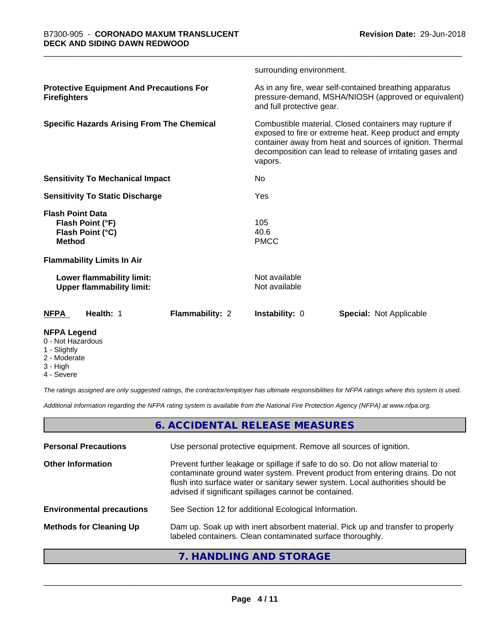|                                                                                  |                        | surrounding environment.                                                                                                                                                                                                                               |                                                                                                                 |  |
|----------------------------------------------------------------------------------|------------------------|--------------------------------------------------------------------------------------------------------------------------------------------------------------------------------------------------------------------------------------------------------|-----------------------------------------------------------------------------------------------------------------|--|
| <b>Protective Equipment And Precautions For</b><br><b>Firefighters</b>           |                        | and full protective gear.                                                                                                                                                                                                                              | As in any fire, wear self-contained breathing apparatus<br>pressure-demand, MSHA/NIOSH (approved or equivalent) |  |
| <b>Specific Hazards Arising From The Chemical</b>                                |                        | Combustible material. Closed containers may rupture if<br>exposed to fire or extreme heat. Keep product and empty<br>container away from heat and sources of ignition. Thermal<br>decomposition can lead to release of irritating gases and<br>vapors. |                                                                                                                 |  |
| <b>Sensitivity To Mechanical Impact</b>                                          |                        | No                                                                                                                                                                                                                                                     |                                                                                                                 |  |
| <b>Sensitivity To Static Discharge</b>                                           |                        | Yes                                                                                                                                                                                                                                                    |                                                                                                                 |  |
| <b>Flash Point Data</b><br>Flash Point (°F)<br>Flash Point (°C)<br><b>Method</b> |                        | 105<br>40.6<br><b>PMCC</b>                                                                                                                                                                                                                             |                                                                                                                 |  |
| <b>Flammability Limits In Air</b>                                                |                        |                                                                                                                                                                                                                                                        |                                                                                                                 |  |
| Lower flammability limit:<br><b>Upper flammability limit:</b>                    |                        | Not available<br>Not available                                                                                                                                                                                                                         |                                                                                                                 |  |
| Health: 1<br><b>NFPA</b>                                                         | <b>Flammability: 2</b> | <b>Instability: 0</b>                                                                                                                                                                                                                                  | <b>Special: Not Applicable</b>                                                                                  |  |
| <b>NFPA Legend</b>                                                               |                        |                                                                                                                                                                                                                                                        |                                                                                                                 |  |

- 0 Not Hazardous
- 1 Slightly
- 2 Moderate
- 3 High
- 4 Severe

*The ratings assigned are only suggested ratings, the contractor/employer has ultimate responsibilities for NFPA ratings where this system is used.*

*Additional information regarding the NFPA rating system is available from the National Fire Protection Agency (NFPA) at www.nfpa.org.*

## **6. ACCIDENTAL RELEASE MEASURES**

| <b>Personal Precautions</b>      | Use personal protective equipment. Remove all sources of ignition.                                                                                                                                                                                                                                         |
|----------------------------------|------------------------------------------------------------------------------------------------------------------------------------------------------------------------------------------------------------------------------------------------------------------------------------------------------------|
| <b>Other Information</b>         | Prevent further leakage or spillage if safe to do so. Do not allow material to<br>contaminate ground water system. Prevent product from entering drains. Do not<br>flush into surface water or sanitary sewer system. Local authorities should be<br>advised if significant spillages cannot be contained. |
| <b>Environmental precautions</b> | See Section 12 for additional Ecological Information.                                                                                                                                                                                                                                                      |
| <b>Methods for Cleaning Up</b>   | Dam up. Soak up with inert absorbent material. Pick up and transfer to properly<br>labeled containers. Clean contaminated surface thoroughly.                                                                                                                                                              |
|                                  |                                                                                                                                                                                                                                                                                                            |

#### **7. HANDLING AND STORAGE**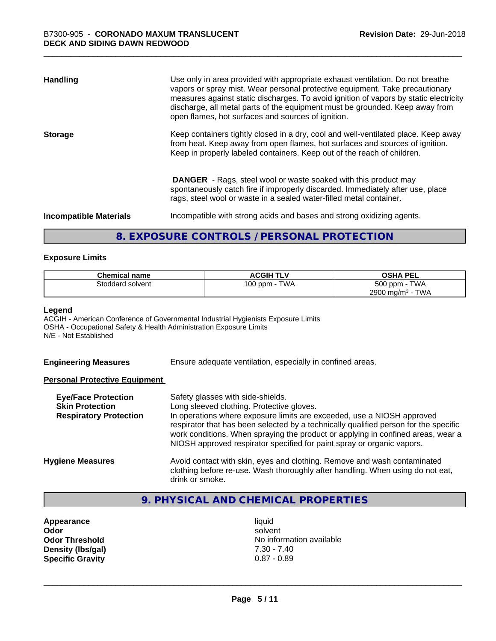| <b>Handling</b>               | Use only in area provided with appropriate exhaust ventilation. Do not breathe<br>vapors or spray mist. Wear personal protective equipment. Take precautionary<br>measures against static discharges. To avoid ignition of vapors by static electricity<br>discharge, all metal parts of the equipment must be grounded. Keep away from<br>open flames, hot surfaces and sources of ignition. |
|-------------------------------|-----------------------------------------------------------------------------------------------------------------------------------------------------------------------------------------------------------------------------------------------------------------------------------------------------------------------------------------------------------------------------------------------|
| <b>Storage</b>                | Keep containers tightly closed in a dry, cool and well-ventilated place. Keep away<br>from heat. Keep away from open flames, hot surfaces and sources of ignition.<br>Keep in properly labeled containers. Keep out of the reach of children.                                                                                                                                                 |
|                               | <b>DANGER</b> - Rags, steel wool or waste soaked with this product may<br>spontaneously catch fire if improperly discarded. Immediately after use, place<br>rags, steel wool or waste in a sealed water-filled metal container.                                                                                                                                                               |
| <b>Incompatible Materials</b> | Incompatible with strong acids and bases and strong oxidizing agents.                                                                                                                                                                                                                                                                                                                         |

## **8. EXPOSURE CONTROLS / PERSONAL PROTECTION**

#### **Exposure Limits**

| <b>Chemical name</b> | <b>ACGIH TLV</b> | <b>OSHA PEL</b>                        |
|----------------------|------------------|----------------------------------------|
| Stoddard solvent     | TWA<br>100 ppm   | 500 ppm -<br><b>TWA</b>                |
|                      |                  | <b>TWA</b><br>2900 mg/m <sup>3</sup> - |

#### **Legend**

ACGIH - American Conference of Governmental Industrial Hygienists Exposure Limits OSHA - Occupational Safety & Health Administration Exposure Limits N/E - Not Established

**Engineering Measures** Ensure adequate ventilation, especially in confined areas.

#### **Personal Protective Equipment**

| <b>Eye/Face Protection</b><br><b>Skin Protection</b><br><b>Respiratory Protection</b> | Safety glasses with side-shields.<br>Long sleeved clothing. Protective gloves.<br>In operations where exposure limits are exceeded, use a NIOSH approved<br>respirator that has been selected by a technically qualified person for the specific<br>work conditions. When spraying the product or applying in confined areas, wear a<br>NIOSH approved respirator specified for paint spray or organic vapors. |
|---------------------------------------------------------------------------------------|----------------------------------------------------------------------------------------------------------------------------------------------------------------------------------------------------------------------------------------------------------------------------------------------------------------------------------------------------------------------------------------------------------------|
| <b>Hygiene Measures</b>                                                               | Avoid contact with skin, eyes and clothing. Remove and wash contaminated<br>clothing before re-use. Wash thoroughly after handling. When using do not eat,<br>drink or smoke.                                                                                                                                                                                                                                  |

# **9. PHYSICAL AND CHEMICAL PROPERTIES**

**Appearance** liquid<br> **Appearance** liquid<br> **Odor** solver **Density (lbs/gal)** 7.30 - 7.40<br> **Specific Gravity** 0.87 - 0.89 **Specific Gravity** 

**Odor** solvent **Odor Threshold** No information available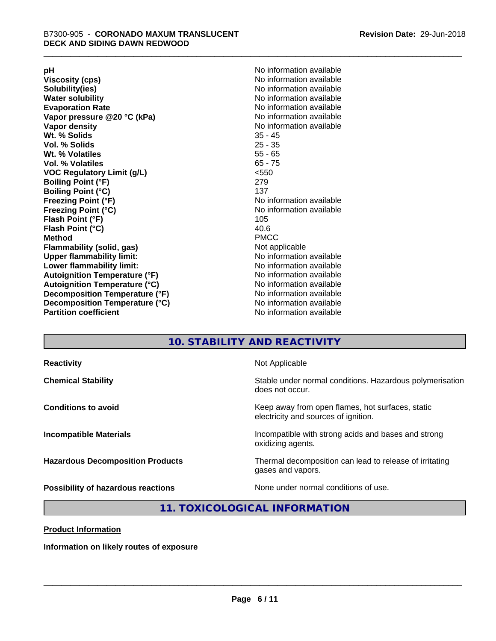**Viscosity (cps)** <br> **Viscosity (cps)** No information available<br>
No information available<br>
No information available **Water solubility**<br> **Evaporation Rate**<br> **Evaporation Rate**<br> **Evaporation Rate Vapor** pressure @20 °C (kPa) **Vapor density No information available Wt. % Solids** 35 - 45 **Vol. % Solids Wt. % Volatiles** 55 - 65 **Vol. % Volatiles** 65 - 75 **VOC Regulatory Limit (g/L)** <550 **Boiling Point (°F)** 279 **Boiling Point (°C)**<br>Freezing Point (°F) **Freezing Point (°C)** No information available **Flash Point (°F)** 105 **Flash Point (°C)** 40.6 **Method** PMCC **Flammability (solid, gas)** Not applicable **Upper flammability limit:** No information available **Lower flammability limit:** No information available **Autoignition Temperature (°F)** No information available **Autoignition Temperature (°C)** No information available **Decomposition Temperature (°F)** No information available **Decomposition Temperature (°C)** No information available<br> **Partition coefficient Partition available** 

**pH**<br>
Viscosity (cps) The Contract of the Contract of No information available<br>
No information available **Solubility(ies)** No information available No information available<br>No information available **No information available No information available** 

## **10. STABILITY AND REACTIVITY**

| <b>Reactivity</b>                         | Not Applicable                                                                           |
|-------------------------------------------|------------------------------------------------------------------------------------------|
| <b>Chemical Stability</b>                 | Stable under normal conditions. Hazardous polymerisation<br>does not occur.              |
| <b>Conditions to avoid</b>                | Keep away from open flames, hot surfaces, static<br>electricity and sources of ignition. |
| <b>Incompatible Materials</b>             | Incompatible with strong acids and bases and strong<br>oxidizing agents.                 |
| <b>Hazardous Decomposition Products</b>   | Thermal decomposition can lead to release of irritating<br>gases and vapors.             |
| <b>Possibility of hazardous reactions</b> | None under normal conditions of use.                                                     |

#### **11. TOXICOLOGICAL INFORMATION**

**Product Information**

**Information on likely routes of exposure**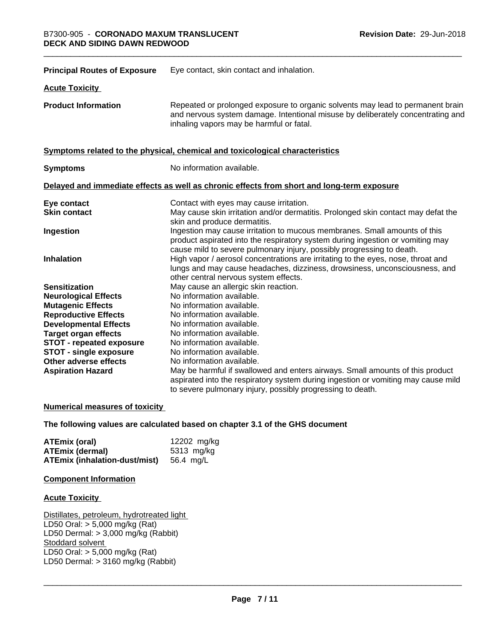| <b>Principal Routes of Exposure</b> | Eye contact, skin contact and inhalation.                                                                                                                                                                                            |
|-------------------------------------|--------------------------------------------------------------------------------------------------------------------------------------------------------------------------------------------------------------------------------------|
| <b>Acute Toxicity</b>               |                                                                                                                                                                                                                                      |
| <b>Product Information</b>          | Repeated or prolonged exposure to organic solvents may lead to permanent brain<br>and nervous system damage. Intentional misuse by deliberately concentrating and<br>inhaling vapors may be harmful or fatal.                        |
|                                     | Symptoms related to the physical, chemical and toxicological characteristics                                                                                                                                                         |
| <b>Symptoms</b>                     | No information available.                                                                                                                                                                                                            |
|                                     | Delayed and immediate effects as well as chronic effects from short and long-term exposure                                                                                                                                           |
| Eye contact                         | Contact with eyes may cause irritation.                                                                                                                                                                                              |
| <b>Skin contact</b>                 | May cause skin irritation and/or dermatitis. Prolonged skin contact may defat the<br>skin and produce dermatitis.                                                                                                                    |
| Ingestion                           | Ingestion may cause irritation to mucous membranes. Small amounts of this<br>product aspirated into the respiratory system during ingestion or vomiting may<br>cause mild to severe pulmonary injury, possibly progressing to death. |
| <b>Inhalation</b>                   | High vapor / aerosol concentrations are irritating to the eyes, nose, throat and<br>lungs and may cause headaches, dizziness, drowsiness, unconsciousness, and<br>other central nervous system effects.                              |
| <b>Sensitization</b>                | May cause an allergic skin reaction.                                                                                                                                                                                                 |
| <b>Neurological Effects</b>         | No information available.                                                                                                                                                                                                            |
| <b>Mutagenic Effects</b>            | No information available.                                                                                                                                                                                                            |
| <b>Reproductive Effects</b>         | No information available.                                                                                                                                                                                                            |
| <b>Developmental Effects</b>        | No information available.                                                                                                                                                                                                            |
| <b>Target organ effects</b>         | No information available.                                                                                                                                                                                                            |
| <b>STOT - repeated exposure</b>     | No information available.                                                                                                                                                                                                            |
| <b>STOT - single exposure</b>       | No information available.                                                                                                                                                                                                            |
| Other adverse effects               | No information available.                                                                                                                                                                                                            |
| <b>Aspiration Hazard</b>            | May be harmful if swallowed and enters airways. Small amounts of this product                                                                                                                                                        |
|                                     | aspirated into the respiratory system during ingestion or vomiting may cause mild<br>to severe pulmonary injury, possibly progressing to death.                                                                                      |
|                                     |                                                                                                                                                                                                                                      |

#### **Numerical measures of toxicity**

#### **The following values are calculated based on chapter 3.1 of the GHS document**

| ATEmix (oral)                                  | 12202 mg/kg |
|------------------------------------------------|-------------|
| <b>ATEmix (dermal)</b>                         | 5313 mg/kg  |
| <b>ATEmix (inhalation-dust/mist)</b> 56.4 mg/L |             |

#### **Component Information**

#### **Acute Toxicity**

Distillates, petroleum, hydrotreated light LD50 Oral: > 5,000 mg/kg (Rat) LD50 Dermal: > 3,000 mg/kg (Rabbit) Stoddard solvent LD50 Oral: > 5,000 mg/kg (Rat) LD50 Dermal:  $> 3160$  mg/kg (Rabbit)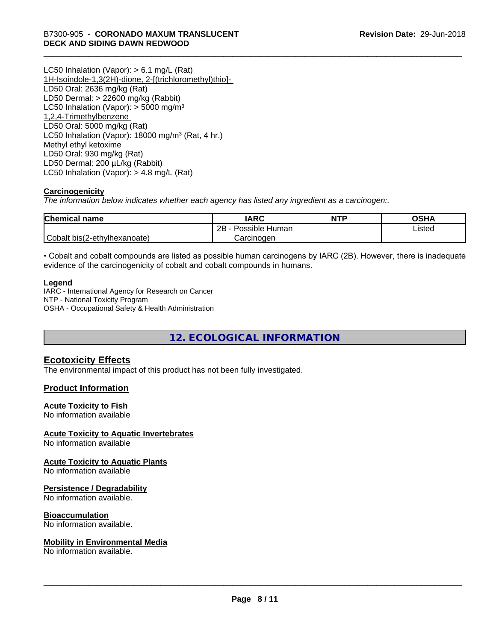LC50 Inhalation (Vapor): > 6.1 mg/L (Rat) 1H-Isoindole-1,3(2H)-dione, 2-[(trichloromethyl)thio]- LD50 Oral: 2636 mg/kg (Rat) LD50 Dermal: > 22600 mg/kg (Rabbit) LC50 Inhalation (Vapor):  $>$  5000 mg/m<sup>3</sup> 1,2,4-Trimethylbenzene LD50 Oral: 5000 mg/kg (Rat) LC50 Inhalation (Vapor): 18000 mg/m<sup>3</sup> (Rat, 4 hr.) Methyl ethyl ketoxime LD50 Oral: 930 mg/kg (Rat) LD50 Dermal: 200 µL/kg (Rabbit) LC50 Inhalation (Vapor): > 4.8 mg/L (Rat)

#### **Carcinogenicity**

*The information below indicateswhether each agency has listed any ingredient as a carcinogen:.*

| <b>Chemical name</b>         | <b>IARC</b>             | <b>NTP</b> | OSHA   |
|------------------------------|-------------------------|------------|--------|
|                              | Possible<br>2B<br>Human |            | Listed |
| Cobalt bis(2-ethylhexanoate) | Carcinogen              |            |        |

• Cobalt and cobalt compounds are listed as possible human carcinogens by IARC (2B). However, there is inadequate evidence of the carcinogenicity of cobalt and cobalt compounds in humans.

#### **Legend**

IARC - International Agency for Research on Cancer NTP - National Toxicity Program OSHA - Occupational Safety & Health Administration

**12. ECOLOGICAL INFORMATION**

#### **Ecotoxicity Effects**

The environmental impact of this product has not been fully investigated.

#### **Product Information**

#### **Acute Toxicity to Fish**

No information available

#### **Acute Toxicity to Aquatic Invertebrates**

No information available

#### **Acute Toxicity to Aquatic Plants**

No information available

#### **Persistence / Degradability**

No information available.

#### **Bioaccumulation**

No information available.

#### **Mobility in Environmental Media**

No information available.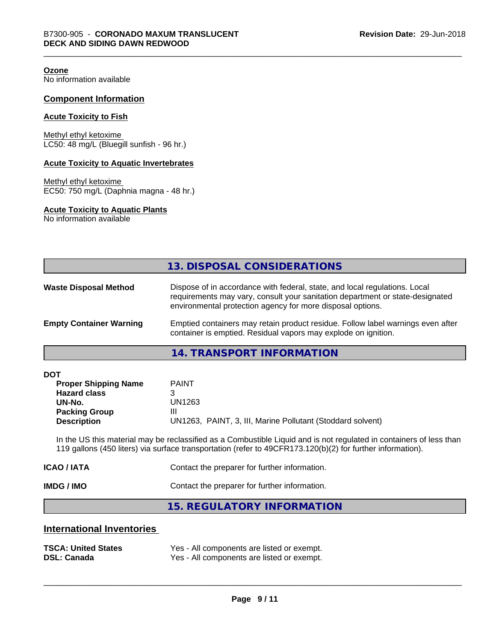**Ozone**

No information available

#### **Component Information**

#### **Acute Toxicity to Fish**

Methyl ethyl ketoxime LC50: 48 mg/L (Bluegill sunfish - 96 hr.)

#### **Acute Toxicity to Aquatic Invertebrates**

Methyl ethyl ketoxime EC50: 750 mg/L (Daphnia magna - 48 hr.)

#### **Acute Toxicity to Aquatic Plants**

No information available

#### **14. TRANSPORT INFORMATION**

| <b>DOT</b> |
|------------|
|------------|

| <b>Proper Shipping Name</b> | <b>PAINT</b>                                               |
|-----------------------------|------------------------------------------------------------|
| <b>Hazard class</b>         |                                                            |
| UN-No.                      | UN1263                                                     |
| <b>Packing Group</b>        | Ш                                                          |
| <b>Description</b>          | UN1263, PAINT, 3, III, Marine Pollutant (Stoddard solvent) |

In the US this material may be reclassified as a Combustible Liquid and is not regulated in containers of less than 119 gallons (450 liters) via surface transportation (refer to 49CFR173.120(b)(2) for further information).

| IMDG / IMO  | Contact the preparer for further information. |
|-------------|-----------------------------------------------|
| ICAO / IATA | Contact the preparer for further information. |

**15. REGULATORY INFORMATION**

#### **International Inventories**

| <b>TSCA: United States</b> | Yes - All components are listed or exempt. |
|----------------------------|--------------------------------------------|
| <b>DSL: Canada</b>         | Yes - All components are listed or exempt. |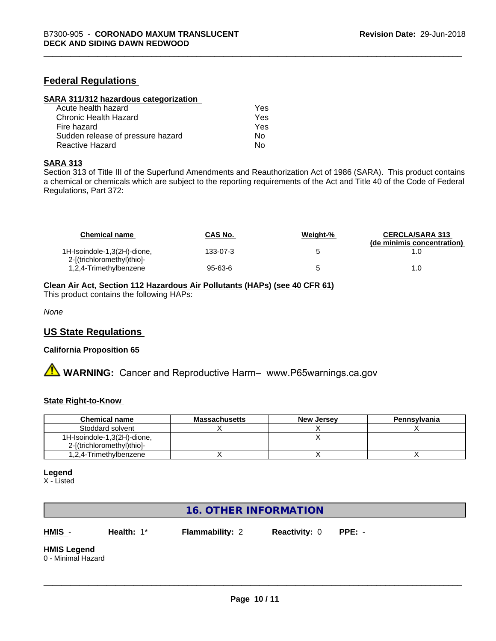#### **Federal Regulations**

| SARA 311/312 hazardous categorization |     |  |
|---------------------------------------|-----|--|
| Acute health hazard                   | Yes |  |
| Chronic Health Hazard                 | Yes |  |
| Fire hazard                           | Yes |  |
| Sudden release of pressure hazard     | Nο  |  |
| Reactive Hazard                       | No  |  |

#### **SARA 313**

Section 313 of Title III of the Superfund Amendments and Reauthorization Act of 1986 (SARA). This product contains a chemical or chemicals which are subject to the reporting requirements of the Act and Title 40 of the Code of Federal Regulations, Part 372:

| <b>Chemical name</b>                                      | <b>CAS No.</b> | Weight-% | <b>CERCLA/SARA 313</b><br>(de minimis concentration) |
|-----------------------------------------------------------|----------------|----------|------------------------------------------------------|
| 1H-Isoindole-1,3(2H)-dione,<br>2-[(trichloromethyl)thio]- | 133-07-3       |          |                                                      |
| 1,2,4-Trimethylbenzene                                    | 95-63-6        |          | 1.0                                                  |

#### **Clean Air Act,Section 112 Hazardous Air Pollutants (HAPs) (see 40 CFR 61)**

This product contains the following HAPs:

*None*

#### **US State Regulations**

#### **California Proposition 65**

**A** WARNING: Cancer and Reproductive Harm– www.P65warnings.ca.gov

#### **State Right-to-Know**

| <b>Chemical name</b>        | <b>Massachusetts</b> | <b>New Jersey</b> | Pennsylvania |
|-----------------------------|----------------------|-------------------|--------------|
| Stoddard solvent            |                      |                   |              |
| 1H-Isoindole-1,3(2H)-dione, |                      |                   |              |
| 2-[(trichloromethyl)thio]-  |                      |                   |              |
| 1,2,4-Trimethylbenzene      |                      |                   |              |

#### **Legend**

X - Listed

## **16. OTHER INFORMATION**

**HMIS** - **Health:** 1\* **Flammability:** 2 **Reactivity:** 0 **PPE:** -

 $\overline{\phantom{a}}$  ,  $\overline{\phantom{a}}$  ,  $\overline{\phantom{a}}$  ,  $\overline{\phantom{a}}$  ,  $\overline{\phantom{a}}$  ,  $\overline{\phantom{a}}$  ,  $\overline{\phantom{a}}$  ,  $\overline{\phantom{a}}$  ,  $\overline{\phantom{a}}$  ,  $\overline{\phantom{a}}$  ,  $\overline{\phantom{a}}$  ,  $\overline{\phantom{a}}$  ,  $\overline{\phantom{a}}$  ,  $\overline{\phantom{a}}$  ,  $\overline{\phantom{a}}$  ,  $\overline{\phantom{a}}$ 

# **HMIS Legend**